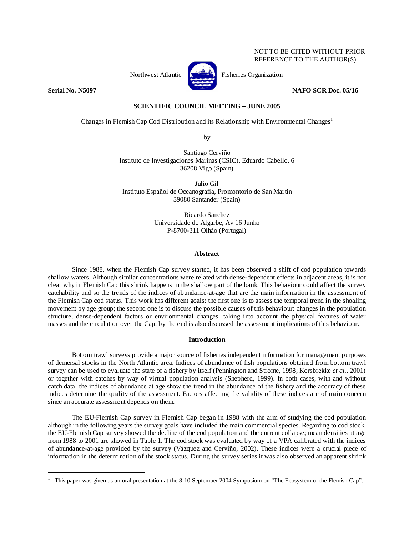## NOT TO BE CITED WITHOUT PRIOR REFERENCE TO THE AUTHOR(S)



Northwest Atlantic Fisheries Organization

**Serial No. N5097 NAFO SCR Doc. 05/16** 

 $\overline{a}$ 

# **SCIENTIFIC COUNCIL MEETING – JUNE 2005**

Changes in Flemish Cap Cod Distribution and its Relationship with Environmental Changes<sup>1</sup>

by

Santiago Cerviño Instituto de Investigaciones Marinas (CSIC), Eduardo Cabello, 6 36208 Vigo (Spain)

Julio Gil Instituto Español de Oceanografía, Promontorio de San Martin 39080 Santander (Spain)

> Ricardo Sanchez Universidade do Algarbe, Av 16 Junho P-8700-311 Olhào (Portugal)

## **Abstract**

Since 1988, when the Flemish Cap survey started, it has been observed a shift of cod population towards shallow waters. Although similar concentrations were related with dense-dependent effects in adjacent areas, it is not clear why in Flemish Cap this shrink happens in the shallow part of the bank. This behaviour could affect the survey catchability and so the trends of the indices of abundance-at-age that are the main information in the assessment of the Flemish Cap cod status. This work has different goals: the first one is to assess the temporal trend in the shoaling movement by age group; the second one is to discuss the possible causes of this behaviour: changes in the population structure, dense-dependent factors or environmental changes, taking into account the physical features of water masses and the circulation over the Cap; by the end is also discussed the assessment implications of this behaviour.

## **Introduction**

Bottom trawl surveys provide a major source of fisheries independent information for management purposes of demersal stocks in the North Atlantic area. Indices of abundance of fish populations obtained from bottom trawl survey can be used to evaluate the state of a fishery by itself (Pennington and Strome, 1998; Korsbrekke *et al.*, 2001) or together with catches by way of virtual population analysis (Shepherd, 1999). In both cases, with and without catch data, the indices of abundance at age show the trend in the abundance of the fishery and the accuracy of these indices determine the quality of the assessment. Factors affecting the validity of these indices are of main concern since an accurate assessment depends on them.

The EU-Flemish Cap survey in Flemish Cap began in 1988 with the aim of studying the cod population although in the following years the survey goals have included the main commercial species. Regarding to cod stock, the EU-Flemish Cap survey showed the decline of the cod population and the current collapse; mean densities at age from 1988 to 2001 are showed in Table 1. The cod stock was evaluated by way of a VPA calibrated with the indices of abundance-at-age provided by the survey (Vázquez and Cerviño, 2002). These indices were a crucial piece of information in the determination of the stock status. During the survey series it was also observed an apparent shrink

<sup>1</sup> This paper was given as an oral presentation at the 8-10 September 2004 Symposium on "The Ecosystem of the Flemish Cap".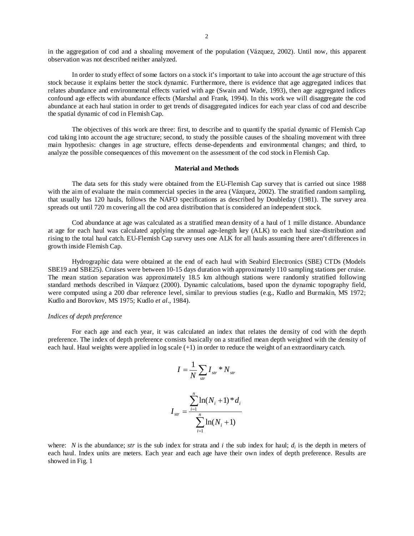in the aggregation of cod and a shoaling movement of the population (Vázquez, 2002). Until now, this apparent observation was not described neither analyzed.

In order to study effect of some factors on a stock it's important to take into account the age structure of this stock because it explains better the stock dynamic. Furthermore, there is evidence that age aggregated indices that relates abundance and environmental effects varied with age (Swain and Wade, 1993), then age aggregated indices confound age effects with abundance effects (Marshal and Frank, 1994). In this work we will disaggregate the cod abundance at each haul station in order to get trends of disaggregated indices for each year class of cod and describe the spatial dynamic of cod in Flemish Cap.

The objectives of this work are three: first, to describe and to quantify the spatial dynamic of Flemish Cap cod taking into account the age structure; second, to study the possible causes of the shoaling movement with three main hypothesis: changes in age structure, effects dense-dependents and environmental changes; and third, to analyze the possible consequences of this movement on the assessment of the cod stock in Flemish Cap.

### **Material and Methods**

The data sets for this study were obtained from the EU-Flemish Cap survey that is carried out since 1988 with the aim of evaluate the main commercial species in the area (Vázquez, 2002). The stratified random sampling, that usually has 120 hauls, follows the NAFO specifications as described by Doubleday (1981). The survey area spreads out until 720 m covering all the cod area distribution that is considered an independent stock.

Cod abundance at age was calculated as a stratified mean density of a haul of 1 mille distance. Abundance at age for each haul was calculated applying the annual age-length key (ALK) to each haul size-distribution and rising to the total haul catch. EU-Flemish Cap survey uses one ALK for all hauls assuming there aren't differences in growth inside Flemish Cap.

Hydrographic data were obtained at the end of each haul with Seabird Electronics (SBE) CTDs (Models SBE19 and SBE25). Cruises were between 10-15 days duration with approximately 110 sampling stations per cruise. The mean station separation was approximately 18.5 km although stations were randomly stratified following standard methods described in Vázquez (2000). Dynamic calculations, based upon the dynamic topography field, were computed using a 200 dbar reference level, similar to previous studies (e.g., Kudlo and Burmakin, MS 1972; Kudlo and Borovkov, MS 1975; Kudlo *et al*., 1984).

#### *Indices of depth preference*

For each age and each year, it was calculated an index that relates the density of cod with the depth preference. The index of depth preference consists basically on a stratified mean depth weighted with the density of each haul. Haul weights were applied in log scale (+1) in order to reduce the weight of an extraordinary catch.

$$
I = \frac{1}{N} \sum_{str} I_{str} * N_{str}
$$

$$
I_{str} = \frac{\sum_{i=1}^{n} \ln(N_i + 1) * d_i}{\sum_{i=1}^{n} \ln(N_i + 1)}
$$

where: *N* is the abundance; *str* is the sub index for strata and *i* the sub index for haul;  $d_i$  is the depth in meters of each haul. Index units are meters. Each year and each age have their own index of depth preference. Results are showed in Fig. 1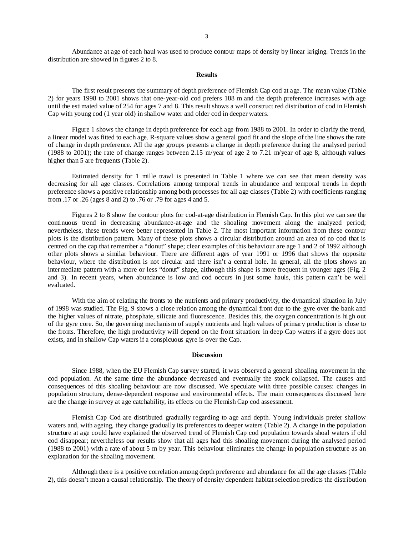Abundance at age of each haul was used to produce contour maps of density by linear kriging. Trends in the distribution are showed in figures 2 to 8.

### **Results**

The first result presents the summary of depth preference of Flemish Cap cod at age. The mean value (Table 2) for years 1998 to 2001 shows that one-year-old cod prefers 188 m and the depth preference increases with age until the estimated value of 254 for ages 7 and 8. This result shows a well construct red distribution of cod in Flemish Cap with young cod (1 year old) in shallow water and older cod in deeper waters.

Figure 1 shows the change in depth preference for each age from 1988 to 2001. In order to clarify the trend, a linear model was fitted to each age. R-square values show a general good fit and the slope of the line shows the rate of change in depth preference. All the age groups presents a change in depth preference during the analysed period (1988 to 2001); the rate of change ranges between 2.15 m/year of age 2 to 7.21 m/year of age 8, although values higher than 5 are frequents (Table 2).

Estimated density for 1 mille trawl is presented in Table 1 where we can see that mean density was decreasing for all age classes. Correlations among temporal trends in abundance and temporal trends in depth preference shows a positive relationship among both processes for all age classes (Table 2) with coefficients ranging from .17 or .26 (ages 8 and 2) to .76 or .79 for ages 4 and 5.

Figures 2 to 8 show the contour plots for cod-at-age distribution in Flemish Cap. In this plot we can see the continuous trend in decreasing abundance-at-age and the shoaling movement along the analyzed period; nevertheless, these trends were better represented in Table 2. The most important information from these contour plots is the distribution pattern. Many of these plots shows a circular distribution around an area of no cod that is centred on the cap that remember a "donut" shape; clear examples of this behaviour are age 1 and 2 of 1992 although other plots shows a similar behaviour. There are different ages of year 1991 or 1996 that shows the opposite behaviour, where the distribution is not circular and there isn't a central hole. In general, all the plots shows an intermediate pattern with a more or less "donut" shape, although this shape is more frequent in younger ages (Fig. 2 and 3). In recent years, when abundance is low and cod occurs in just some hauls, this pattern can't be well evaluated.

With the aim of relating the fronts to the nutrients and primary productivity, the dynamical situation in July of 1998 was studied. The Fig. 9 shows a close relation among the dynamical front due to the gyre over the bank and the higher values of nitrate, phosphate, silicate and fluorescence. Besides this, the oxygen concentration is high out of the gyre core. So, the governing mechanism of supply nutrients and high values of primary production is close to the fronts. Therefore, the high productivity will depend on the front situation: in deep Cap waters if a gyre does not exists, and in shallow Cap waters if a conspicuous gyre is over the Cap.

#### **Discussion**

Since 1988, when the EU Flemish Cap survey started, it was observed a general shoaling movement in the cod population. At the same time the abundance decreased and eventually the stock collapsed. The causes and consequences of this shoaling behaviour are now discussed. We speculate with three possible causes: changes in population structure, dense-dependent response and environmental effects. The main consequences discussed here are the change in survey at age catchability, its effects on the Flemish Cap cod assessment.

Flemish Cap Cod are distributed gradually regarding to age and depth. Young individuals prefer shallow waters and, with ageing, they change gradually its preferences to deeper waters (Table 2). A change in the population structure at age could have explained the observed trend of Flemish Cap cod population towards shoal waters if old cod disappear; nevertheless our results show that all ages had this shoaling movement during the analysed period (1988 to 2001) with a rate of about 5 m by year. This behaviour eliminates the change in population structure as an explanation for the shoaling movement.

Although there is a positive correlation among depth preference and abundance for all the age classes (Table 2), this doesn't mean a causal relationship. The theory of density dependent habitat selection predicts the distribution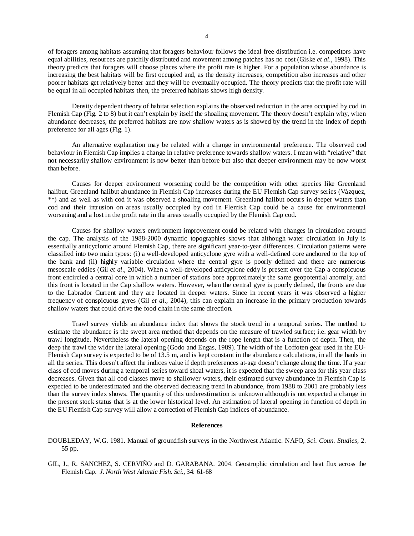of foragers among habitats assuming that foragers behaviour follows the ideal free distribution i.e. competitors have equal abilities, resources are patchily distributed and movement among patches has no cost (Giske *et al.*, 1998). This theory predicts that foragers will choose places where the profit rate is higher. For a population whose abundance is increasing the best habitats will be first occupied and, as the density increases, competition also increases and other poorer habitats get relatively better and they will be eventually occupied. The theory predicts that the profit rate will be equal in all occupied habitats then, the preferred habitats shows high density.

Density dependent theory of habitat selection explains the observed reduction in the area occupied by cod in Flemish Cap (Fig. 2 to 8) but it can't explain by itself the shoaling movement. The theory doesn't explain why, when abundance decreases, the preferred habitats are now shallow waters as is showed by the trend in the index of depth preference for all ages (Fig. 1).

An alternative explanation may be related with a change in environmental preference. The observed cod behaviour in Flemish Cap implies a change in relative preference towards shallow waters. I mean with "relative" that not necessarily shallow environment is now better than before but also that deeper environment may be now worst than before.

Causes for deeper environment worsening could be the competition with other species like Greenland halibut. Greenland halibut abundance in Flemish Cap increases during the EU Flemish Cap survey series (Vázquez, \*\*) and as well as with cod it was observed a shoaling movement. Greenland halibut occurs in deeper waters than cod and their intrusion on areas usually occupied by cod in Flemish Cap could be a cause for environmental worsening and a lost in the profit rate in the areas usually occupied by the Flemish Cap cod.

Causes for shallow waters environment improvement could be related with changes in circulation around the cap. The analysis of the 1988-2000 dynamic topographies shows that although water circulation in July is essentially anticyclonic around Flemish Cap, there are significant year-to-year differences. Circulation patterns were classified into two main types: (i) a well-developed anticyclone gyre with a well-defined core anchored to the top of the bank and (ii) highly variable circulation where the central gyre is poorly defined and there are numerous mesoscale eddies (Gil *et al*., 2004). When a well-developed anticyclone eddy is present over the Cap a conspicuous front encircled a central core in which a number of stations bore approximately the same geopotential anomaly, and this front is located in the Cap shallow waters. However, when the central gyre is poorly defined, the fronts are due to the Labrador Current and they are located in deeper waters. Since in recent years it was observed a higher frequency of conspicuous gyres (Gil *et al*., 2004), this can explain an increase in the primary production towards shallow waters that could drive the food chain in the same direction.

Trawl survey yields an abundance index that shows the stock trend in a temporal series. The method to estimate the abundance is the swept area method that depends on the measure of trawled surface; i.e. gear width by trawl longitude. Nevertheless the lateral opening depends on the rope length that is a function of depth. Then, the deep the trawl the wider the lateral opening (Godo and Engas, 1989). The width of the Loffoten gear used in the EU-Flemish Cap survey is expected to be of 13.5 m, and is kept constant in the abundance calculations, in all the hauls in all the series. This doesn't affect the indices value if depth preferences at-age doesn't change along the time. If a year class of cod moves during a temporal series toward shoal waters, it is expected that the sweep area for this year class decreases. Given that all cod classes move to shallower waters, their estimated survey abundance in Flemish Cap is expected to be underestimated and the observed decreasing trend in abundance, from 1988 to 2001 are probably less than the survey index shows. The quantity of this underestimation is unknown although is not expected a change in the present stock status that is at the lower historical level. An estimation of lateral opening in function of depth in the EU Flemish Cap survey will allow a correction of Flemish Cap indices of abundance.

#### **References**

- DOUBLEDAY, W.G. 1981. Manual of groundfish surveys in the Northwest Atlantic. NAFO, *Sci. Coun. Studies,* 2. 55 pp.
- GIL, J., R. SANCHEZ, S. CERVIÑO and D. GARABANA. 2004. Geostrophic circulation and heat flux across the Flemish Cap. *J. North West Atlantic Fish. Sci.,* 34: 61-68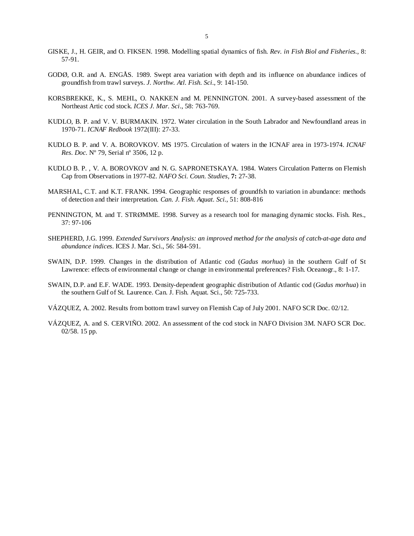- GISKE, J., H. GEIR, and O. FIKSEN. 1998. Modelling spatial dynamics of fish. *Rev. in Fish Biol and Fisheries.*, 8: 57-91.
- GODØ, O.R. and A. ENGÅS. 1989. Swept area variation with depth and its influence on abundance indices of groundfish from trawl surveys. *J. Northw. Atl. Fish. Sci*., 9: 141-150.
- KORSBREKKE, K., S. MEHL, O. NAKKEN and M. PENNINGTON. 2001. A survey-based assessment of the Northeast Artic cod stock. *ICES J. Mar. Sci*., 58: 763-769.
- KUDLO, B. P. and V. V. BURMAKIN. 1972. Water circulation in the South Labrador and Newfoundland areas in 1970-71. *ICNAF Redbook* 1972(III): 27-33.
- KUDLO B. P. and V. A. BOROVKOV. MS 1975. Circulation of waters in the ICNAF area in 1973-1974. *ICNAF Res. Doc.* Nº 79, Serial nº 3506, 12 p.
- KUDLO B. P. , V. A. BOROVKOV and N. G. SAPRONETSKAYA. 1984. Waters Circulation Patterns on Flemish Cap from Observations in 1977-82. *NAFO Sci. Coun. Studies,* **7:** 27-38.
- MARSHAL, C.T. and K.T. FRANK. 1994. Geographic responses of groundfsh to variation in abundance: methods of detection and their interpretation. *Can. J. Fish. Aquat. Sci.,* 51: 808-816
- PENNINGTON, M. and T. STRØMME. 1998. Survey as a research tool for managing dynamic stocks. Fish. Res., 37: 97-106
- SHEPHERD, J.G. 1999. *Extended Survivors Analysis: an improved method for the analysis of catch-at-age data and abundance indices*. ICES J. Mar. Sci., 56: 584-591.
- SWAIN, D.P. 1999. Changes in the distribution of Atlantic cod (*Gadus morhua*) in the southern Gulf of St Lawrence: effects of environmental change or change in environmental preferences? Fish. Oceanogr., 8: 1-17.
- SWAIN, D.P. and E.F. WADE. 1993. Density-dependent geographic distribution of Atlantic cod (*Gadus morhua*) in the southern Gulf of St. Laurence. Can. J. Fish. Aquat. Sci., 50: 725-733.
- VÁZQUEZ, A. 2002. Results from bottom trawl survey on Flemish Cap of July 2001. NAFO SCR Doc. 02/12.
- VÁZQUEZ, A. and S. CERVIÑO. 2002. An assessment of the cod stock in NAFO Division 3M. NAFO SCR Doc. 02/58. 15 pp.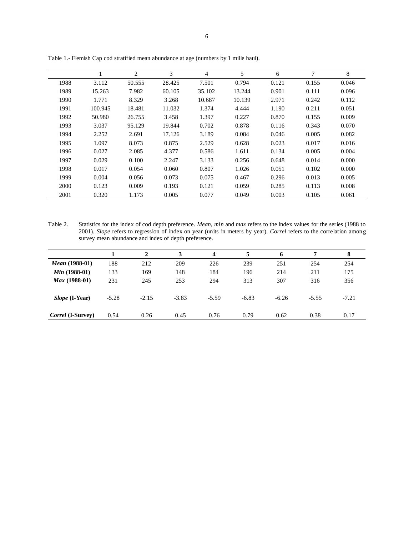|      | 1       | 2      | 3      | 4      | 5      | 6     | 7     | 8     |
|------|---------|--------|--------|--------|--------|-------|-------|-------|
| 1988 | 3.112   | 50.555 | 28.425 | 7.501  | 0.794  | 0.121 | 0.155 | 0.046 |
| 1989 | 15.263  | 7.982  | 60.105 | 35.102 | 13.244 | 0.901 | 0.111 | 0.096 |
| 1990 | 1.771   | 8.329  | 3.268  | 10.687 | 10.139 | 2.971 | 0.242 | 0.112 |
| 1991 | 100.945 | 18.481 | 11.032 | 1.374  | 4.444  | 1.190 | 0.211 | 0.051 |
| 1992 | 50.980  | 26.755 | 3.458  | 1.397  | 0.227  | 0.870 | 0.155 | 0.009 |
| 1993 | 3.037   | 95.129 | 19.844 | 0.702  | 0.878  | 0.116 | 0.343 | 0.070 |
| 1994 | 2.252   | 2.691  | 17.126 | 3.189  | 0.084  | 0.046 | 0.005 | 0.082 |
| 1995 | 1.097   | 8.073  | 0.875  | 2.529  | 0.628  | 0.023 | 0.017 | 0.016 |
| 1996 | 0.027   | 2.085  | 4.377  | 0.586  | 1.611  | 0.134 | 0.005 | 0.004 |
| 1997 | 0.029   | 0.100  | 2.247  | 3.133  | 0.256  | 0.648 | 0.014 | 0.000 |
| 1998 | 0.017   | 0.054  | 0.060  | 0.807  | 1.026  | 0.051 | 0.102 | 0.000 |
| 1999 | 0.004   | 0.056  | 0.073  | 0.075  | 0.467  | 0.296 | 0.013 | 0.005 |
| 2000 | 0.123   | 0.009  | 0.193  | 0.121  | 0.059  | 0.285 | 0.113 | 0.008 |
| 2001 | 0.320   | 1.173  | 0.005  | 0.077  | 0.049  | 0.003 | 0.105 | 0.061 |
|      |         |        |        |        |        |       |       |       |

Table 1.- Flemish Cap cod stratified mean abundance at age (numbers by 1 mille haul).

Table 2. Statistics for the index of cod depth preference. *Mean*, *min* and *max* refers to the index values for the series (1988 to 2001). *Slope* refers to regression of index on year (units in meters by year). *Correl* refers to the correlation among survey mean abundance and index of depth preference.

|                          |         | 2       |         | 4       | 5       | 6       | 7       | 8       |
|--------------------------|---------|---------|---------|---------|---------|---------|---------|---------|
| <i>Mean</i> (1988-01)    | 188     | 212     | 209     | 226     | 239     | 251     | 254     | 254     |
| <i>Min</i> $(1988-01)$   | 133     | 169     | 148     | 184     | 196     | 214     | 211     | 175     |
| Max (1988-01)            | 231     | 245     | 253     | 294     | 313     | 307     | 316     | 356     |
| <i>Slope</i> (I-Year)    | $-5.28$ | $-2.15$ | $-3.83$ | $-5.59$ | $-6.83$ | $-6.26$ | $-5.55$ | $-7.21$ |
| <i>Correl</i> (I-Survey) | 0.54    | 0.26    | 0.45    | 0.76    | 0.79    | 0.62    | 0.38    | 0.17    |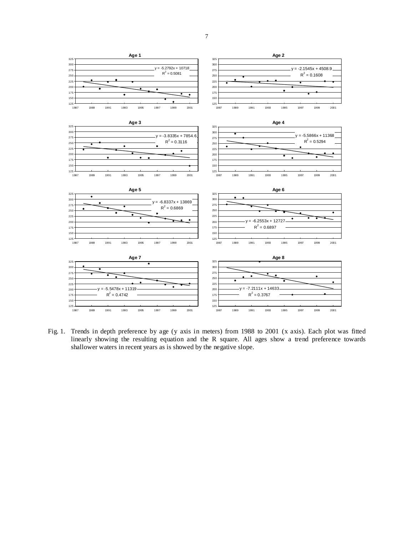

Fig. 1. Trends in depth preference by age (y axis in meters) from 1988 to 2001 (x axis). Each plot was fitted linearly showing the resulting equation and the R square. All ages show a trend preference towards shallower waters in recent years as is showed by the negative slope.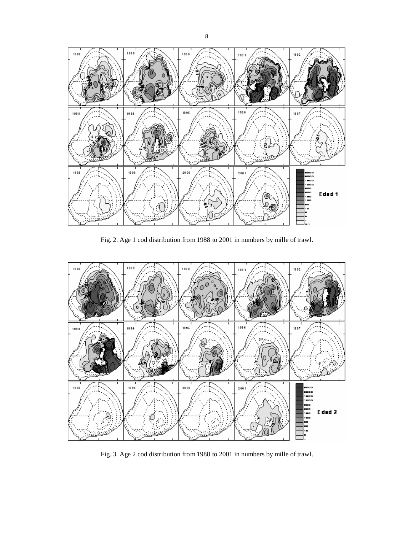

Fig. 2. Age 1 cod distribution from 1988 to 2001 in numbers by mille of trawl.



Fig. 3. Age 2 cod distribution from 1988 to 2001 in numbers by mille of trawl.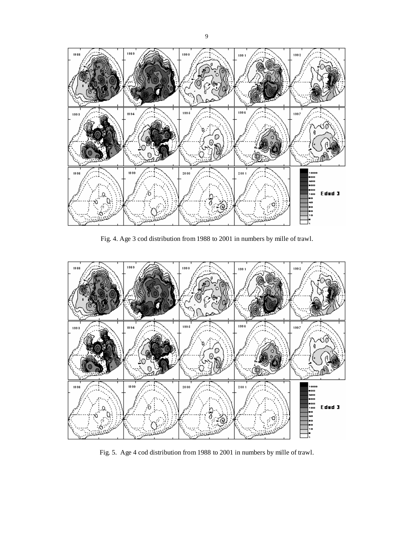

Fig. 4. Age 3 cod distribution from 1988 to 2001 in numbers by mille of trawl.



Fig. 5. Age 4 cod distribution from 1988 to 2001 in numbers by mille of trawl.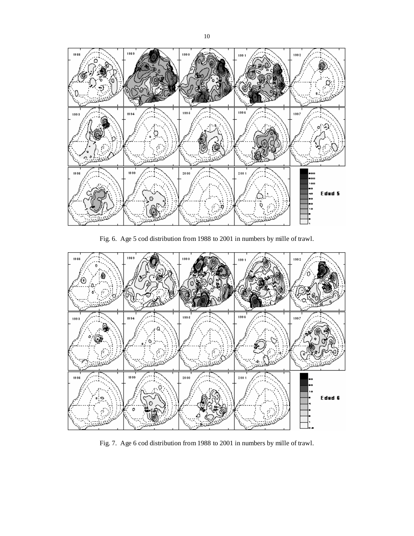

Fig. 6. Age 5 cod distribution from 1988 to 2001 in numbers by mille of trawl.



Fig. 7. Age 6 cod distribution from 1988 to 2001 in numbers by mille of trawl.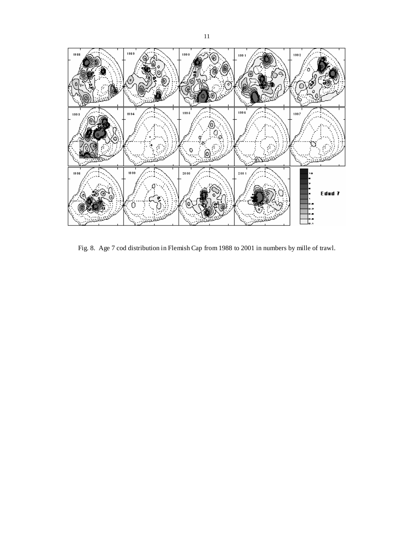

Fig. 8. Age 7 cod distribution in Flemish Cap from 1988 to 2001 in numbers by mille of trawl.